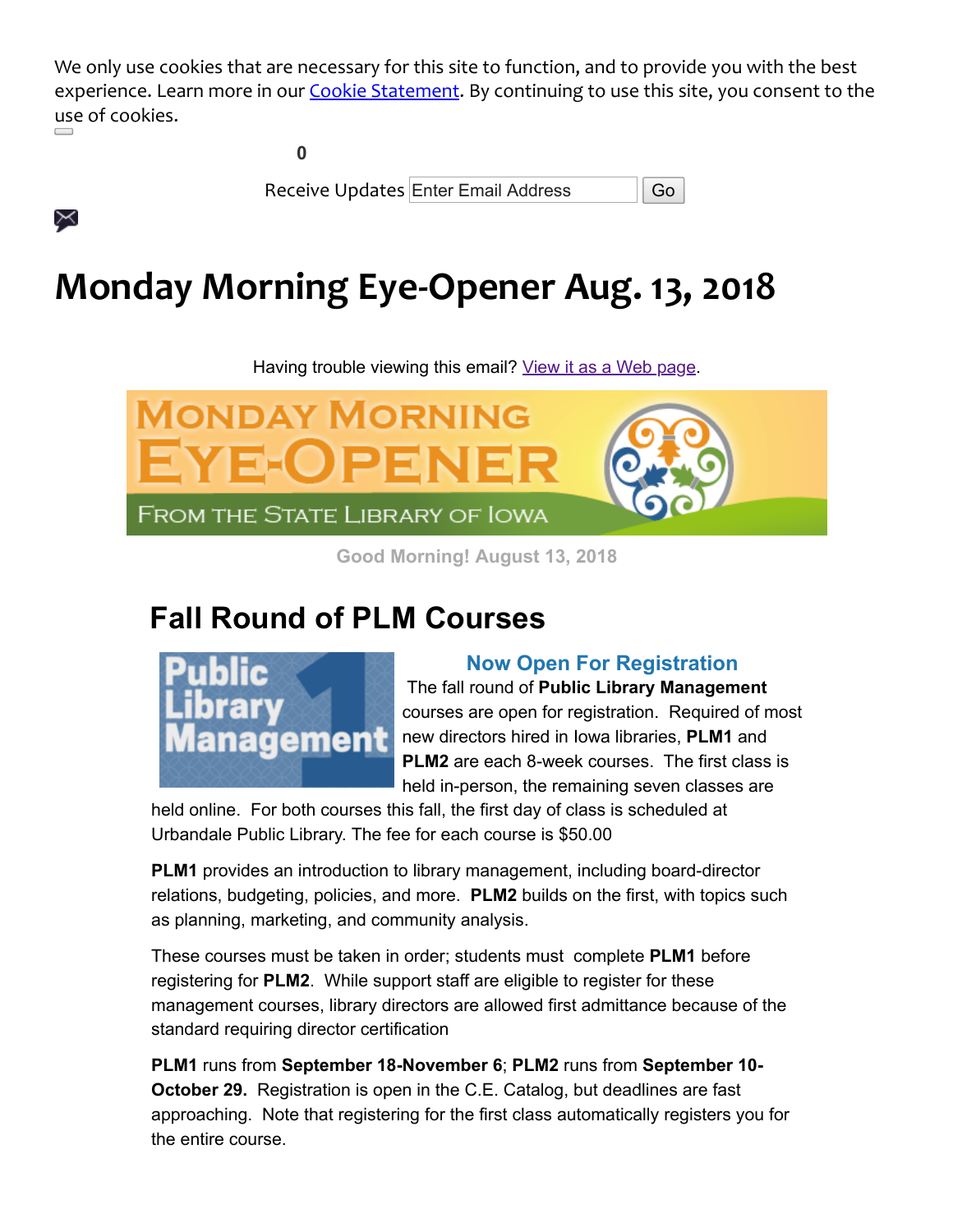We only use cookies that are necessary for this site to function, and to provide you with the best experience. Learn more in our [Cookie Statement](https://insights.govdelivery.com/Communications/Subscriber_Help_Center/Browser_cookies). By continuing to use this site, you consent to the use of cookies.

**0**

X

Receive Updates Enter Email Address | Go

# **Monday Morning Eye-Opener Aug. 13, 2018**

Having trouble viewing this email? [View it as a Web page.](https://content.govdelivery.com/accounts/IACIO/bulletins/20597cb)



**Good Morning! August 13, 2018**

## **Fall Round of PLM Courses**



### **Now Open For Registration**

The fall round of **Public Library Management** courses are open for registration. Required of most new directors hired in Iowa libraries, **PLM1** and **PLM2** are each 8-week courses. The first class is held in-person, the remaining seven classes are

held online. For both courses this fall, the first day of class is scheduled at Urbandale Public Library. The fee for each course is \$50.00

**PLM1** provides an introduction to library management, including board-director relations, budgeting, policies, and more. **PLM2** builds on the first, with topics such as planning, marketing, and community analysis.

These courses must be taken in order; students must complete **PLM1** before registering for **PLM2**. While support staff are eligible to register for these management courses, library directors are allowed first admittance because of the standard requiring director certification

**PLM1** runs from **September 18-November 6**; **PLM2** runs from **September 10- October 29.** Registration is open in the C.E. Catalog, but deadlines are fast approaching. Note that registering for the first class automatically registers you for the entire course.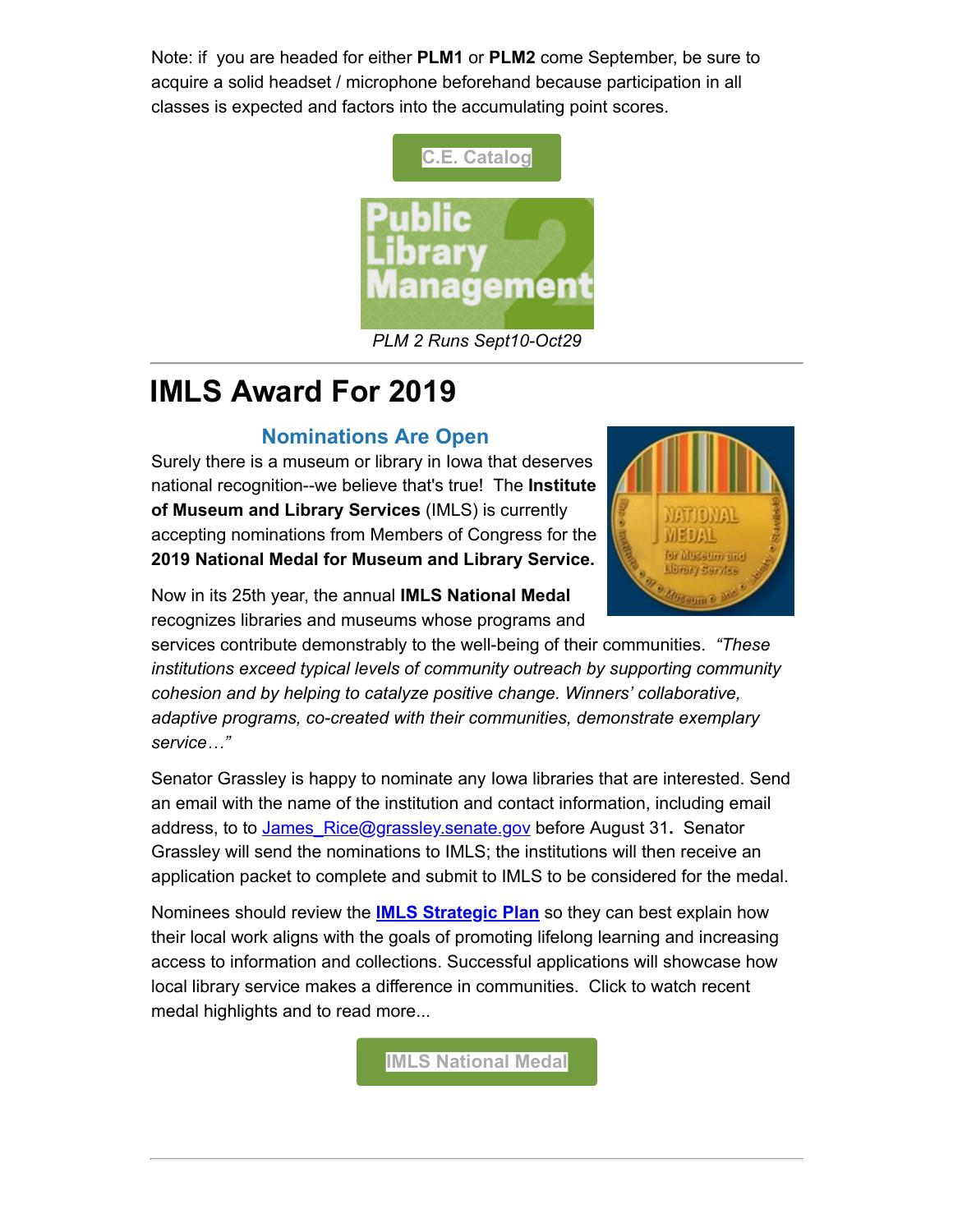Note: if you are headed for either **PLM1** or **PLM2** come September, be sure to acquire a solid headset / microphone beforehand because participation in all classes is expected and factors into the accumulating point scores.



*PLM 2 Runs Sept10-Oct29*

## **IMLS Award For 2019**

### **Nominations Are Open**

Surely there is a museum or library in Iowa that deserves national recognition--we believe that's true! The **Institute of Museum and Library Services** (IMLS) is currently accepting nominations from Members of Congress for the **2019 National Medal for Museum and Library Service.**



Now in its 25th year, the annual **IMLS National Medal** recognizes libraries and museums whose programs and

services contribute demonstrably to the well-being of their communities. *"These institutions exceed typical levels of community outreach by supporting community cohesion and by helping to catalyze positive change. Winners' collaborative, adaptive programs, co-created with their communities, demonstrate exemplary service…"*

Senator Grassley is happy to nominate any Iowa libraries that are interested. Send an email with the name of the institution and contact information, including email address, to to [James\\_Rice@grassley.senate.gov](mailto:James_Rice@grassley.senate.gov) before August 31**.** Senator Grassley will send the nominations to IMLS; the institutions will then receive an application packet to complete and submit to IMLS to be considered for the medal.

Nominees should review the **[IMLS Strategic Plan](https://www.imls.gov/publications/transforming-communities-imls-strategic-plan-2018-2022?utm_medium=email&utm_source=govdelivery)** so they can best explain how their local work aligns with the goals of promoting lifelong learning and increasing access to information and collections. Successful applications will showcase how local library service makes a difference in communities. Click to watch recent medal highlights and to read more...

**[IMLS National Medal](https://www.imls.gov/news-events/events/2017-national-medal-museum-and-library-service-award-ceremony?utm_medium=email&utm_source=govdelivery)**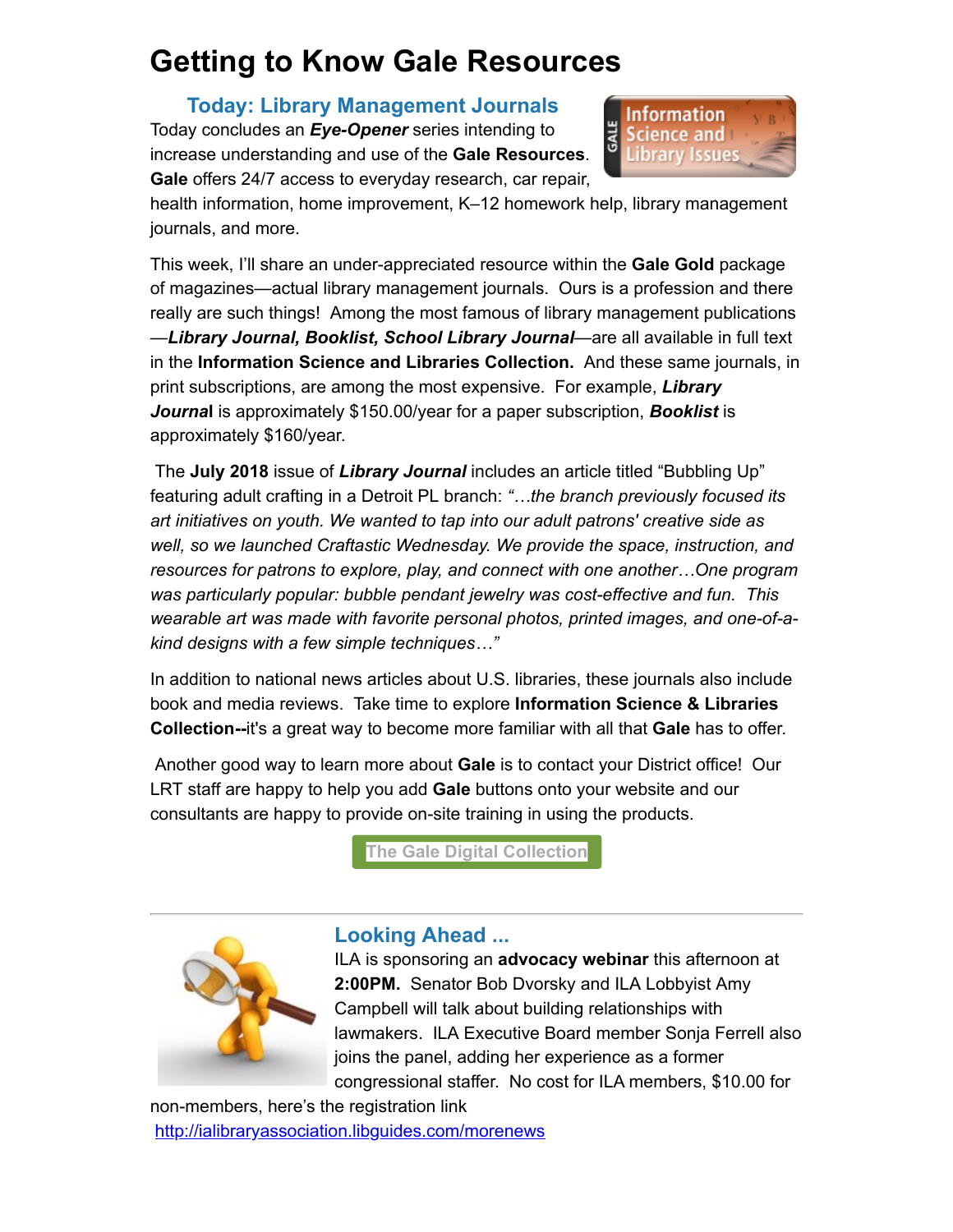### **Getting to Know Gale Resources**

### **Today: Library Management Journals**

Today concludes an *Eye-Opener* series intending to increase understanding and use of the **Gale Resources**. **Gale** offers 24/7 access to everyday research, car repair,



health information, home improvement, K–12 homework help, library management journals, and more.

This week, I'll share an under-appreciated resource within the **Gale Gold** package of magazines—actual library management journals. Ours is a profession and there really are such things! Among the most famous of library management publications —*Library Journal, Booklist, School Library Journal*—are all available in full text in the **Information Science and Libraries Collection.** And these same journals, in print subscriptions, are among the most expensive. For example, *Library Journa***l** is approximately \$150.00/year for a paper subscription, *Booklist* is approximately \$160/year.

The **July 2018** issue of *Library Journal* includes an article titled "Bubbling Up" featuring adult crafting in a Detroit PL branch: *"…the branch previously focused its art initiatives on youth. We wanted to tap into our adult patrons' creative side as well, so we launched Craftastic Wednesday. We provide the space, instruction, and resources for patrons to explore, play, and connect with one another…One program was particularly popular: bubble pendant jewelry was cost-effective and fun. This wearable art was made with favorite personal photos, printed images, and one-of-akind designs with a few simple techniques…"*

In addition to national news articles about U.S. libraries, these journals also include book and media reviews. Take time to explore **Information Science & Libraries Collection--**it's a great way to become more familiar with all that **Gale** has to offer.

Another good way to learn more about **Gale** is to contact your District office! Our LRT staff are happy to help you add **Gale** buttons onto your website and our consultants are happy to provide on-site training in using the products.

**[The Gale Digital Collection](https://www.statelibraryofiowa.org/ld/c-d/databases/gale?utm_medium=email&utm_source=govdelivery)**



#### **Looking Ahead ...**

ILA is sponsoring an **advocacy webinar** this afternoon at **2:00PM.** Senator Bob Dvorsky and ILA Lobbyist Amy Campbell will talk about building relationships with lawmakers. ILA Executive Board member Sonja Ferrell also joins the panel, adding her experience as a former congressional staffer. No cost for ILA members, \$10.00 for

non-members, here's the registration link [http://ialibraryassociation.libguides.com/morenews](http://ialibraryassociation.libguides.com/morenews?utm_medium=email&utm_source=govdelivery)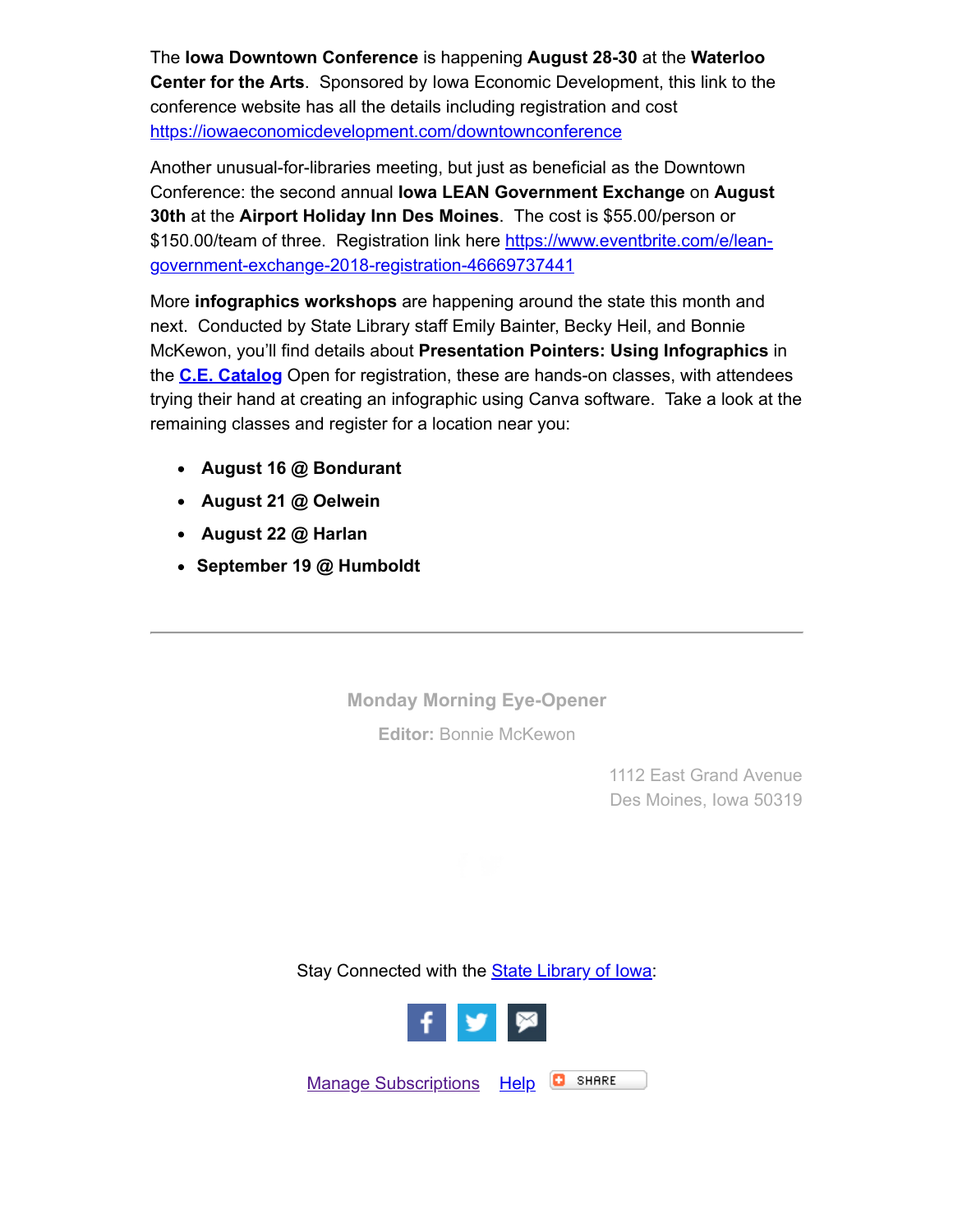The **Iowa Downtown Conference** is happening **August 28-30** at the **Waterloo Center for the Arts**. Sponsored by Iowa Economic Development, this link to the conference website has all the details including registration and cost [https://iowaeconomicdevelopment.com/downtownconference](https://iowaeconomicdevelopment.com/downtownconference?utm_medium=email&utm_source=govdelivery)

Another unusual-for-libraries meeting, but just as beneficial as the Downtown Conference: the second annual **Iowa LEAN Government Exchange** on **August 30th** at the **Airport Holiday Inn Des Moines**. The cost is \$55.00/person or [\\$150.00/team of three. Registration link here https://www.eventbrite.com/e/lean](https://www.eventbrite.com/e/lean-government-exchange-2018-registration-46669737441?utm_medium=email&utm_source=govdelivery)government-exchange-2018-registration-46669737441

More **infographics workshops** are happening around the state this month and next. Conducted by State Library staff Emily Bainter, Becky Heil, and Bonnie McKewon, you'll find details about **Presentation Pointers: Using Infographics** in the **[C.E. Catalog](https://statelibraryofiowa.lmscheckout.com/Course/index?utm_medium=email&utm_source=govdelivery)** Open for registration, these are hands-on classes, with attendees trying their hand at creating an infographic using Canva software. Take a look at the remaining classes and register for a location near you:

- **August 16 @ Bondurant**
- **August 21 @ Oelwein**
- **August 22 @ Harlan**
- **September 19 @ Humboldt**

**Monday Morning Eye-Opener**

**Editor:** [Bonnie McKewon](mailto:bonnie.mckewon@iowa.gov)

1112 East Grand Avenue Des Moines, Iowa 50319

Stay Connected with the **[State Library of Iowa](http://www.statelibraryofiowa.org/?utm_medium=email&utm_source=govdelivery):** 



[Manage Subscriptions](https://public.govdelivery.com/accounts/IACIO/subscriber/edit?preferences=true#tab1) [Help](https://subscriberhelp.govdelivery.com/) **C** SHARE